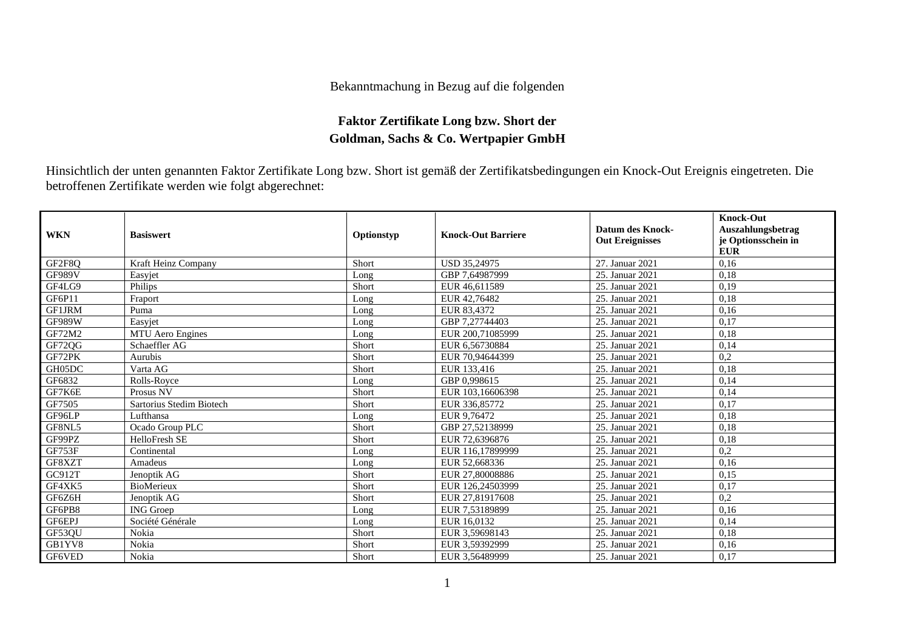## Bekanntmachung in Bezug auf die folgenden

## **Faktor Zertifikate Long bzw. Short der Goldman, Sachs & Co. Wertpapier GmbH**

Hinsichtlich der unten genannten Faktor Zertifikate Long bzw. Short ist gemäß der Zertifikatsbedingungen ein Knock-Out Ereignis eingetreten. Die betroffenen Zertifikate werden wie folgt abgerechnet:

| <b>WKN</b>    | <b>Basiswert</b>         | Optionstyp | <b>Knock-Out Barriere</b> | <b>Datum des Knock-</b><br><b>Out Ereignisses</b> | <b>Knock-Out</b><br>Auszahlungsbetrag<br>je Optionsschein in<br><b>EUR</b> |
|---------------|--------------------------|------------|---------------------------|---------------------------------------------------|----------------------------------------------------------------------------|
| GF2F8Q        | Kraft Heinz Company      | Short      | USD 35,24975              | 27. Januar 2021                                   | 0,16                                                                       |
| <b>GF989V</b> | Easyjet                  | Long       | GBP 7,64987999            | 25. Januar 2021                                   | 0,18                                                                       |
| GF4LG9        | Philips                  | Short      | EUR 46,611589             | 25. Januar 2021                                   | 0,19                                                                       |
| GF6P11        | Fraport                  | Long       | EUR 42,76482              | 25. Januar 2021                                   | 0,18                                                                       |
| GF1JRM        | Puma                     | Long       | EUR 83,4372               | 25. Januar 2021                                   | 0,16                                                                       |
| <b>GF989W</b> | Easyjet                  | Long       | GBP 7,27744403            | 25. Januar 2021                                   | 0,17                                                                       |
| GF72M2        | <b>MTU</b> Aero Engines  | Long       | EUR 200,71085999          | 25. Januar 2021                                   | 0,18                                                                       |
| GF72QG        | Schaeffler AG            | Short      | EUR 6.56730884            | 25. Januar 2021                                   | 0,14                                                                       |
| GF72PK        | Aurubis                  | Short      | EUR 70,94644399           | 25. Januar 2021                                   | 0,2                                                                        |
| GH05DC        | Varta AG                 | Short      | EUR 133,416               | 25. Januar 2021                                   | 0,18                                                                       |
| GF6832        | Rolls-Royce              | Long       | GBP 0.998615              | 25. Januar 2021                                   | 0,14                                                                       |
| GF7K6E        | Prosus NV                | Short      | EUR 103,16606398          | 25. Januar 2021                                   | 0,14                                                                       |
| GF7505        | Sartorius Stedim Biotech | Short      | EUR 336,85772             | 25. Januar 2021                                   | 0,17                                                                       |
| GF96LP        | Lufthansa                | Long       | EUR 9,76472               | 25. Januar 2021                                   | 0,18                                                                       |
| GF8NL5        | Ocado Group PLC          | Short      | GBP 27,52138999           | 25. Januar 2021                                   | 0,18                                                                       |
| GF99PZ        | HelloFresh SE            | Short      | EUR 72,6396876            | 25. Januar 2021                                   | 0,18                                                                       |
| GF753F        | Continental              | Long       | EUR 116,17899999          | 25. Januar 2021                                   | 0,2                                                                        |
| GF8XZT        | Amadeus                  | Long       | EUR 52,668336             | 25. Januar 2021                                   | 0,16                                                                       |
| GC912T        | Jenoptik AG              | Short      | EUR 27,80008886           | 25. Januar 2021                                   | 0,15                                                                       |
| GF4XK5        | <b>BioMerieux</b>        | Short      | EUR 126,24503999          | 25. Januar 2021                                   | 0,17                                                                       |
| GF6Z6H        | Jenoptik AG              | Short      | EUR 27,81917608           | 25. Januar 2021                                   | 0,2                                                                        |
| GF6PB8        | <b>ING</b> Groep         | Long       | EUR 7,53189899            | 25. Januar 2021                                   | 0,16                                                                       |
| GF6EPJ        | Société Générale         | Long       | EUR 16.0132               | 25. Januar 2021                                   | 0,14                                                                       |
| GF53QU        | Nokia                    | Short      | EUR 3,59698143            | 25. Januar 2021                                   | 0.18                                                                       |
| GB1YV8        | Nokia                    | Short      | EUR 3.59392999            | 25. Januar 2021                                   | 0,16                                                                       |
| GF6VED        | Nokia                    | Short      | EUR 3,56489999            | 25. Januar 2021                                   | 0,17                                                                       |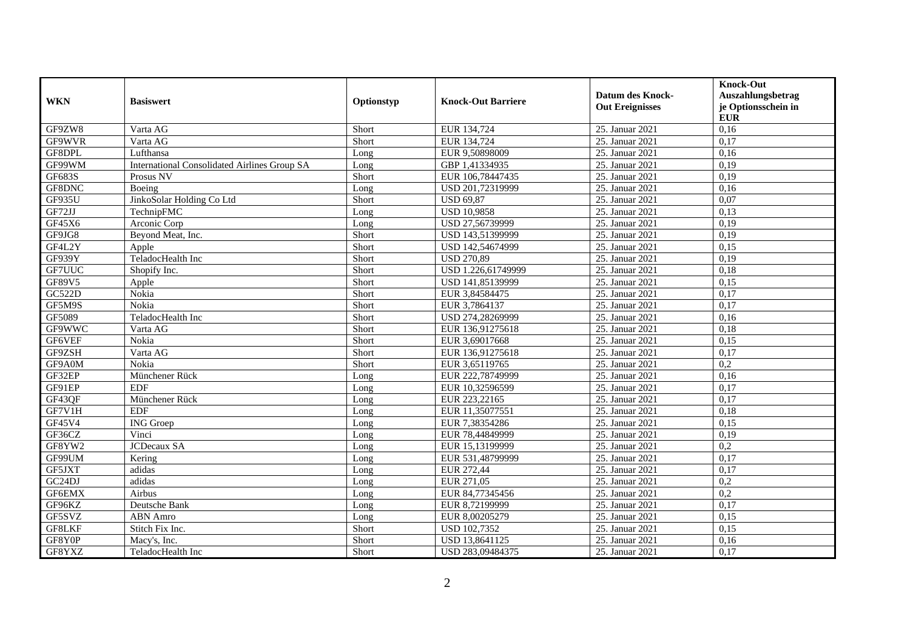| <b>WKN</b>          | <b>Basiswert</b>                                    | Optionstyp | <b>Knock-Out Barriere</b> | <b>Datum des Knock-</b><br><b>Out Ereignisses</b> | <b>Knock-Out</b><br>Auszahlungsbetrag<br>je Optionsschein in<br><b>EUR</b> |
|---------------------|-----------------------------------------------------|------------|---------------------------|---------------------------------------------------|----------------------------------------------------------------------------|
| GF9ZW8              | Varta AG                                            | Short      | EUR 134,724               | 25. Januar 2021                                   | 0,16                                                                       |
| GF9WVR              | Varta AG                                            | Short      | EUR 134,724               | 25. Januar 2021                                   | 0,17                                                                       |
| GF8DPL              | Lufthansa                                           | Long       | EUR 9,50898009            | 25. Januar 2021                                   | 0,16                                                                       |
| GF99WM              | <b>International Consolidated Airlines Group SA</b> | Long       | GBP 1,41334935            | 25. Januar 2021                                   | 0,19                                                                       |
| GF683S              | Prosus NV                                           | Short      | EUR 106,78447435          | 25. Januar 2021                                   | 0,19                                                                       |
| GF8DNC              | Boeing                                              | Long       | USD 201,72319999          | 25. Januar 2021                                   | 0,16                                                                       |
| GF935U              | JinkoSolar Holding Co Ltd                           | Short      | <b>USD 69,87</b>          | 25. Januar 2021                                   | 0,07                                                                       |
| GF72JJ              | TechnipFMC                                          | Long       | <b>USD 10,9858</b>        | 25. Januar 2021                                   | 0,13                                                                       |
| GF45X6              | Arconic Corp                                        | Long       | USD 27,56739999           | 25. Januar 2021                                   | 0,19                                                                       |
| GF9JG8              | Beyond Meat, Inc.                                   | Short      | USD 143,51399999          | 25. Januar 2021                                   | 0,19                                                                       |
| GF4L2Y              | Apple                                               | Short      | USD 142,54674999          | 25. Januar 2021                                   | 0,15                                                                       |
| GF939Y              | TeladocHealth Inc                                   | Short      | <b>USD 270,89</b>         | 25. Januar 2021                                   | 0,19                                                                       |
| GF7UUC              | Shopify Inc.                                        | Short      | USD 1.226.61749999        | 25. Januar 2021                                   | 0,18                                                                       |
| GF89V5              | Apple                                               | Short      | USD 141,85139999          | 25. Januar 2021                                   | 0,15                                                                       |
| GC522D              | Nokia                                               | Short      | EUR 3,84584475            | 25. Januar 2021                                   | 0,17                                                                       |
| GF5M9S              | Nokia                                               | Short      | EUR 3,7864137             | 25. Januar 2021                                   | 0,17                                                                       |
| GF5089              | TeladocHealth Inc                                   | Short      | USD 274,28269999          | 25. Januar 2021                                   | 0,16                                                                       |
| GF9WWC              | Varta AG                                            | Short      | EUR 136,91275618          | 25. Januar 2021                                   | 0,18                                                                       |
| GF6VEF              | Nokia                                               | Short      | EUR 3,69017668            | 25. Januar 2021                                   | 0,15                                                                       |
| GF9ZSH              | Varta AG                                            | Short      | EUR 136,91275618          | 25. Januar 2021                                   | 0,17                                                                       |
| GF9A0M              | Nokia                                               | Short      | EUR 3,65119765            | 25. Januar 2021                                   | 0,2                                                                        |
| GF32EP              | Münchener Rück                                      | Long       | EUR 222,78749999          | 25. Januar 2021                                   | 0,16                                                                       |
| GF91EP              | <b>EDF</b>                                          | Long       | EUR 10,32596599           | 25. Januar 2021                                   | 0,17                                                                       |
| GF43QF              | Münchener Rück                                      | Long       | EUR 223,22165             | 25. Januar 2021                                   | 0,17                                                                       |
| GF7V1H              | <b>EDF</b>                                          | Long       | EUR 11,35077551           | 25. Januar 2021                                   | 0,18                                                                       |
| GF45V4              | <b>ING</b> Groep                                    | Long       | EUR 7,38354286            | 25. Januar 2021                                   | 0,15                                                                       |
| GF36CZ              | Vinci                                               | Long       | EUR 78,44849999           | 25. Januar 2021                                   | 0,19                                                                       |
| GF8YW2              | JCDecaux SA                                         | Long       | EUR 15,13199999           | 25. Januar 2021                                   | 0,2                                                                        |
| GF99UM              | Kering                                              | Long       | EUR 531,48799999          | 25. Januar 2021                                   | 0,17                                                                       |
| GF5JXT              | adidas                                              | Long       | EUR 272,44                | 25. Januar 2021                                   | 0,17                                                                       |
| GC <sub>24</sub> DJ | adidas                                              | Long       | EUR 271,05                | 25. Januar 2021                                   | 0,2                                                                        |
| GF6EMX              | Airbus                                              | Long       | EUR 84,77345456           | 25. Januar 2021                                   | 0,2                                                                        |
| GF96KZ              | Deutsche Bank                                       | Long       | EUR 8,72199999            | 25. Januar 2021                                   | 0,17                                                                       |
| GF5SVZ              | <b>ABN</b> Amro                                     | Long       | EUR 8,00205279            | 25. Januar 2021                                   | 0,15                                                                       |
| GF8LKF              | Stitch Fix Inc.                                     | Short      | <b>USD 102,7352</b>       | 25. Januar 2021                                   | 0,15                                                                       |
| GF8Y0P              | Macy's, Inc.                                        | Short      | USD 13,8641125            | 25. Januar 2021                                   | 0,16                                                                       |
| GF8YXZ              | TeladocHealth Inc                                   | Short      | USD 283,09484375          | 25. Januar 2021                                   | 0,17                                                                       |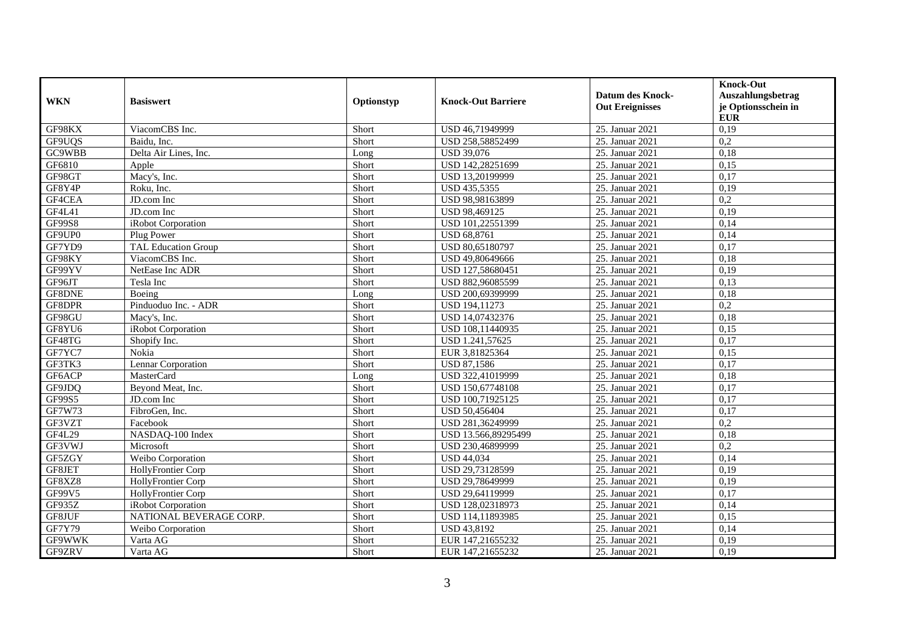| <b>WKN</b>    | <b>Basiswert</b>           | Optionstyp | <b>Knock-Out Barriere</b> | <b>Datum des Knock-</b><br><b>Out Ereignisses</b> | <b>Knock-Out</b><br>Auszahlungsbetrag<br>je Optionsschein in<br><b>EUR</b> |
|---------------|----------------------------|------------|---------------------------|---------------------------------------------------|----------------------------------------------------------------------------|
| GF98KX        | ViacomCBS Inc.             | Short      | USD 46,71949999           | 25. Januar 2021                                   | 0,19                                                                       |
| GF9UQS        | Baidu, Inc.                | Short      | USD 258,58852499          | 25. Januar 2021                                   | 0,2                                                                        |
| GC9WBB        | Delta Air Lines, Inc.      | Long       | USD 39,076                | 25. Januar 2021                                   | 0,18                                                                       |
| GF6810        | Apple                      | Short      | USD 142,28251699          | 25. Januar 2021                                   | 0,15                                                                       |
| GF98GT        | Macy's, Inc.               | Short      | USD 13,20199999           | 25. Januar 2021                                   | 0,17                                                                       |
| GF8Y4P        | Roku, Inc.                 | Short      | USD 435,5355              | 25. Januar 2021                                   | 0,19                                                                       |
| GF4CEA        | JD.com Inc                 | Short      | USD 98,98163899           | 25. Januar 2021                                   | 0,2                                                                        |
| GF4L41        | JD.com Inc                 | Short      | USD 98,469125             | 25. Januar 2021                                   | 0,19                                                                       |
| <b>GF99S8</b> | iRobot Corporation         | Short      | USD 101,22551399          | 25. Januar 2021                                   | 0,14                                                                       |
| GF9UP0        | Plug Power                 | Short      | <b>USD 68,8761</b>        | 25. Januar 2021                                   | 0,14                                                                       |
| GF7YD9        | <b>TAL Education Group</b> | Short      | USD 80,65180797           | 25. Januar 2021                                   | 0,17                                                                       |
| GF98KY        | ViacomCBS Inc.             | Short      | USD 49,80649666           | 25. Januar 2021                                   | 0,18                                                                       |
| GF99YV        | NetEase Inc ADR            | Short      | USD 127,58680451          | 25. Januar 2021                                   | 0.19                                                                       |
| GF96JT        | Tesla Inc                  | Short      | USD 882,96085599          | 25. Januar 2021                                   | 0,13                                                                       |
| GF8DNE        | Boeing                     | Long       | USD 200,69399999          | 25. Januar 2021                                   | 0,18                                                                       |
| GF8DPR        | Pinduoduo Inc. - ADR       | Short      | USD 194,11273             | 25. Januar 2021                                   | 0,2                                                                        |
| GF98GU        | Macy's, Inc.               | Short      | USD 14,07432376           | 25. Januar 2021                                   | 0,18                                                                       |
| GF8YU6        | iRobot Corporation         | Short      | USD 108,11440935          | 25. Januar 2021                                   | 0,15                                                                       |
| GF48TG        | Shopify Inc.               | Short      | USD 1.241,57625           | 25. Januar 2021                                   | 0,17                                                                       |
| GF7YC7        | Nokia                      | Short      | EUR 3,81825364            | 25. Januar 2021                                   | 0,15                                                                       |
| GF3TK3        | Lennar Corporation         | Short      | <b>USD 87,1586</b>        | 25. Januar 2021                                   | 0,17                                                                       |
| GF6ACP        | <b>MasterCard</b>          | Long       | USD 322,41019999          | 25. Januar 2021                                   | 0,18                                                                       |
| GF9JDQ        | Beyond Meat, Inc.          | Short      | USD 150,67748108          | 25. Januar 2021                                   | 0,17                                                                       |
| GF99S5        | JD.com Inc                 | Short      | USD 100,71925125          | 25. Januar 2021                                   | 0,17                                                                       |
| GF7W73        | FibroGen, Inc.             | Short      | USD 50,456404             | 25. Januar 2021                                   | 0,17                                                                       |
| GF3VZT        | Facebook                   | Short      | USD 281,36249999          | 25. Januar 2021                                   | 0,2                                                                        |
| GF4L29        | NASDAQ-100 Index           | Short      | USD 13.566,89295499       | 25. Januar 2021                                   | 0,18                                                                       |
| GF3VWJ        | Microsoft                  | Short      | USD 230,46899999          | 25. Januar 2021                                   | 0,2                                                                        |
| GF5ZGY        | Weibo Corporation          | Short      | <b>USD 44,034</b>         | 25. Januar 2021                                   | 0,14                                                                       |
| GF8JET        | HollyFrontier Corp         | Short      | USD 29,73128599           | 25. Januar 2021                                   | 0,19                                                                       |
| GF8XZ8        | HollyFrontier Corp         | Short      | USD 29,78649999           | 25. Januar 2021                                   | 0,19                                                                       |
| GF99V5        | HollyFrontier Corp         | Short      | USD 29,64119999           | 25. Januar 2021                                   | 0,17                                                                       |
| GF935Z        | iRobot Corporation         | Short      | USD 128,02318973          | 25. Januar 2021                                   | 0,14                                                                       |
| GF8JUF        | NATIONAL BEVERAGE CORP.    | Short      | USD 114,11893985          | 25. Januar 2021                                   | 0,15                                                                       |
| GF7Y79        | Weibo Corporation          | Short      | USD 43,8192               | 25. Januar 2021                                   | 0,14                                                                       |
| <b>GF9WWK</b> | Varta AG                   | Short      | EUR 147,21655232          | 25. Januar 2021                                   | 0,19                                                                       |
| GF9ZRV        | Varta AG                   | Short      | EUR 147,21655232          | 25. Januar 2021                                   | 0,19                                                                       |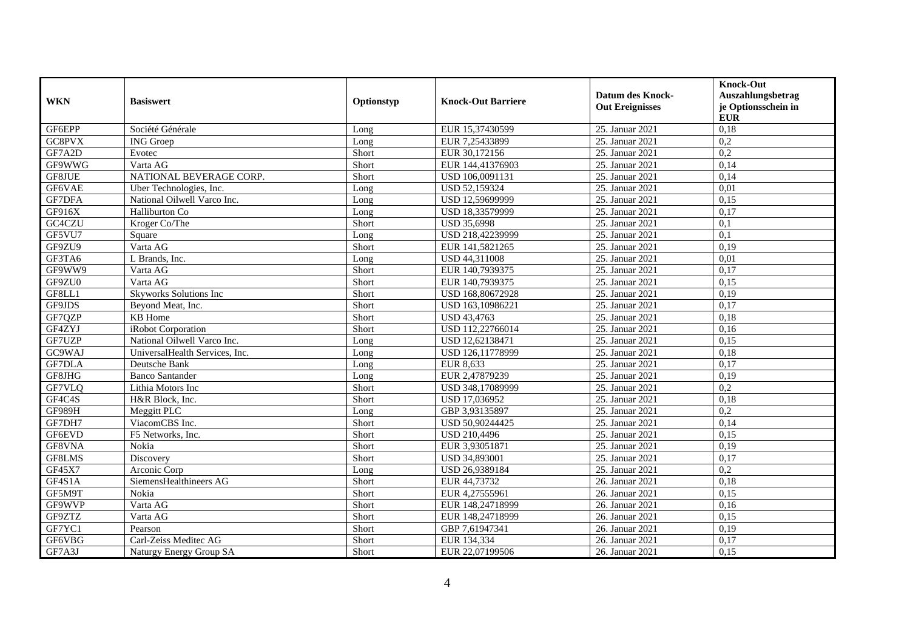| <b>WKN</b>    | <b>Basiswert</b>               | Optionstyp | <b>Knock-Out Barriere</b> | <b>Datum des Knock-</b><br><b>Out Ereignisses</b> | <b>Knock-Out</b><br>Auszahlungsbetrag<br>je Optionsschein in<br><b>EUR</b> |
|---------------|--------------------------------|------------|---------------------------|---------------------------------------------------|----------------------------------------------------------------------------|
| GF6EPP        | Société Générale               | Long       | EUR 15,37430599           | 25. Januar 2021                                   | 0,18                                                                       |
| GC8PVX        | <b>ING</b> Groep               | Long       | EUR 7,25433899            | 25. Januar 2021                                   | 0,2                                                                        |
| GF7A2D        | Evotec                         | Short      | EUR 30,172156             | 25. Januar 2021                                   | 0,2                                                                        |
| GF9WWG        | Varta AG                       | Short      | EUR 144,41376903          | 25. Januar 2021                                   | 0,14                                                                       |
| GF8JUE        | NATIONAL BEVERAGE CORP.        | Short      | USD 106,0091131           | 25. Januar 2021                                   | 0,14                                                                       |
| GF6VAE        | Uber Technologies, Inc.        | Long       | USD 52,159324             | 25. Januar 2021                                   | 0,01                                                                       |
| GF7DFA        | National Oilwell Varco Inc.    | Long       | USD 12,59699999           | 25. Januar 2021                                   | 0,15                                                                       |
| GF916X        | Halliburton Co                 | Long       | USD 18,33579999           | 25. Januar 2021                                   | 0,17                                                                       |
| GC4CZU        | Kroger Co/The                  | Short      | USD 35,6998               | 25. Januar 2021                                   | $\overline{0,1}$                                                           |
| GF5VU7        | Square                         | Long       | USD 218,42239999          | 25. Januar 2021                                   | $\overline{0,1}$                                                           |
| GF9ZU9        | Varta AG                       | Short      | EUR 141,5821265           | 25. Januar 2021                                   | 0,19                                                                       |
| GF3TA6        | L Brands, Inc.                 | Long       | USD 44,311008             | 25. Januar 2021                                   | 0,01                                                                       |
| GF9WW9        | Varta AG                       | Short      | EUR 140,7939375           | 25. Januar 2021                                   | 0,17                                                                       |
| GF9ZU0        | Varta AG                       | Short      | EUR 140,7939375           | 25. Januar 2021                                   | 0,15                                                                       |
| GF8LL1        | Skyworks Solutions Inc         | Short      | USD 168,80672928          | 25. Januar 2021                                   | 0,19                                                                       |
| GF9JDS        | Beyond Meat, Inc.              | Short      | USD 163,10986221          | 25. Januar 2021                                   | 0,17                                                                       |
| GF7OZP        | <b>KB</b> Home                 | Short      | <b>USD 43.4763</b>        | 25. Januar 2021                                   | 0,18                                                                       |
| GF4ZYJ        | iRobot Corporation             | Short      | USD 112,22766014          | 25. Januar 2021                                   | 0,16                                                                       |
| GF7UZP        | National Oilwell Varco Inc.    | Long       | USD 12,62138471           | 25. Januar 2021                                   | 0,15                                                                       |
| GC9WAJ        | UniversalHealth Services, Inc. | Long       | USD 126,11778999          | 25. Januar 2021                                   | 0,18                                                                       |
| GF7DLA        | Deutsche Bank                  | Long       | EUR 8,633                 | 25. Januar 2021                                   | 0,17                                                                       |
| GF8JHG        | <b>Banco Santander</b>         | Long       | EUR 2,47879239            | 25. Januar 2021                                   | 0,19                                                                       |
| GF7VLQ        | Lithia Motors Inc              | Short      | USD 348,17089999          | 25. Januar 2021                                   | 0,2                                                                        |
| GF4C4S        | H&R Block, Inc.                | Short      | USD 17,036952             | 25. Januar 2021                                   | 0,18                                                                       |
| <b>GF989H</b> | Meggitt PLC                    | Long       | GBP 3,93135897            | 25. Januar 2021                                   | 0,2                                                                        |
| GF7DH7        | ViacomCBS Inc.                 | Short      | USD 50,90244425           | 25. Januar 2021                                   | 0,14                                                                       |
| GF6EVD        | F5 Networks, Inc.              | Short      | <b>USD 210,4496</b>       | 25. Januar 2021                                   | 0.15                                                                       |
| GF8VNA        | Nokia                          | Short      | EUR 3,93051871            | 25. Januar 2021                                   | 0,19                                                                       |
| GF8LMS        | Discovery                      | Short      | USD 34,893001             | 25. Januar 2021                                   | 0,17                                                                       |
| GF45X7        | Arconic Corp                   | Long       | USD 26,9389184            | 25. Januar 2021                                   | 0,2                                                                        |
| GF4S1A        | SiemensHealthineers AG         | Short      | EUR 44,73732              | 26. Januar 2021                                   | 0,18                                                                       |
| GF5M9T        | Nokia                          | Short      | EUR 4,27555961            | 26. Januar 2021                                   | 0.15                                                                       |
| GF9WVP        | Varta AG                       | Short      | EUR 148,24718999          | 26. Januar 2021                                   | 0,16                                                                       |
| GF9ZTZ        | Varta AG                       | Short      | EUR 148,24718999          | 26. Januar 2021                                   | 0,15                                                                       |
| GF7YC1        | Pearson                        | Short      | GBP 7,61947341            | 26. Januar 2021                                   | 0,19                                                                       |
| GF6VBG        | Carl-Zeiss Meditec AG          | Short      | EUR 134,334               | 26. Januar 2021                                   | 0,17                                                                       |
| GF7A3J        | Naturgy Energy Group SA        | Short      | EUR 22,07199506           | 26. Januar 2021                                   | 0,15                                                                       |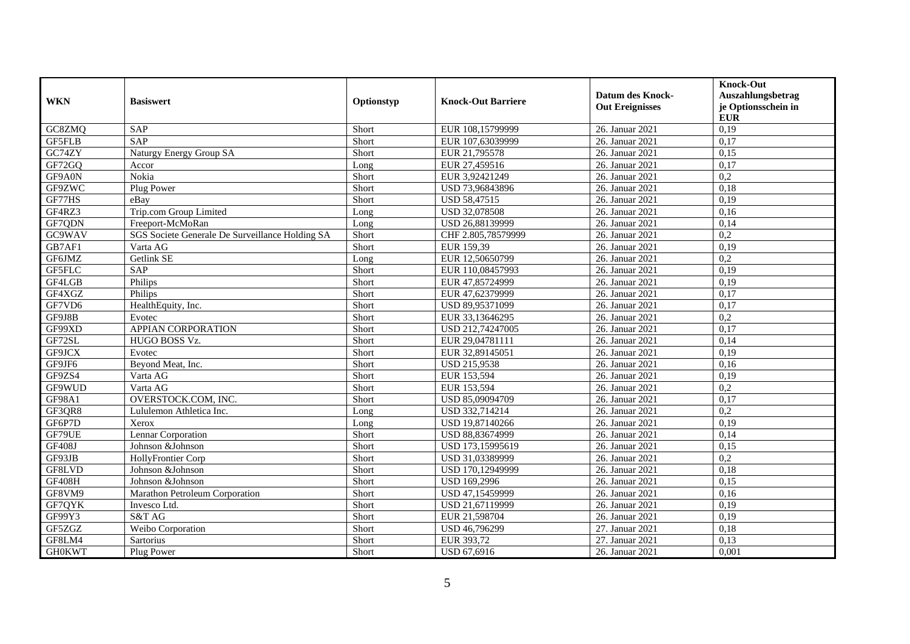| <b>WKN</b>    | <b>Basiswert</b>                                | Optionstyp | <b>Knock-Out Barriere</b> | <b>Datum des Knock-</b><br><b>Out Ereignisses</b> | <b>Knock-Out</b><br>Auszahlungsbetrag<br>je Optionsschein in<br><b>EUR</b> |
|---------------|-------------------------------------------------|------------|---------------------------|---------------------------------------------------|----------------------------------------------------------------------------|
| GC8ZMQ        | SAP                                             | Short      | EUR 108,15799999          | 26. Januar 2021                                   | 0,19                                                                       |
| <b>GF5FLB</b> | <b>SAP</b>                                      | Short      | EUR 107,63039999          | 26. Januar 2021                                   | 0,17                                                                       |
| GC74ZY        | Naturgy Energy Group SA                         | Short      | EUR 21,795578             | 26. Januar 2021                                   | 0,15                                                                       |
| GF72GQ        | Accor                                           | Long       | EUR 27,459516             | 26. Januar 2021                                   | 0,17                                                                       |
| GF9A0N        | Nokia                                           | Short      | EUR 3,92421249            | 26. Januar 2021                                   | 0,2                                                                        |
| GF9ZWC        | Plug Power                                      | Short      | USD 73,96843896           | 26. Januar 2021                                   | 0,18                                                                       |
| GF77HS        | eBav                                            | Short      | <b>USD 58,47515</b>       | 26. Januar 2021                                   | 0,19                                                                       |
| GF4RZ3        | Trip.com Group Limited                          | Long       | USD 32,078508             | 26. Januar 2021                                   | 0,16                                                                       |
| GF7QDN        | Freeport-McMoRan                                | Long       | USD 26,88139999           | 26. Januar 2021                                   | 0,14                                                                       |
| GC9WAV        | SGS Societe Generale De Surveillance Holding SA | Short      | CHF 2.805,78579999        | 26. Januar 2021                                   | 0,2                                                                        |
| GB7AF1        | Varta AG                                        | Short      | EUR 159,39                | 26. Januar 2021                                   | 0,19                                                                       |
| GF6JMZ        | Getlink SE                                      | Long       | EUR 12,50650799           | 26. Januar 2021                                   | 0,2                                                                        |
| GF5FLC        | <b>SAP</b>                                      | Short      | EUR 110,08457993          | 26. Januar 2021                                   | 0,19                                                                       |
| GF4LGB        | Philips                                         | Short      | EUR 47,85724999           | 26. Januar 2021                                   | 0,19                                                                       |
| GF4XGZ        | Philips                                         | Short      | EUR 47,62379999           | 26. Januar 2021                                   | 0,17                                                                       |
| GF7VD6        | HealthEquity, Inc.                              | Short      | USD 89,95371099           | 26. Januar 2021                                   | 0,17                                                                       |
| GF9J8B        | Evotec                                          | Short      | EUR 33.13646295           | 26. Januar 2021                                   | 0,2                                                                        |
| GF99XD        | APPIAN CORPORATION                              | Short      | USD 212,74247005          | 26. Januar 2021                                   | 0,17                                                                       |
| GF72SL        | HUGO BOSS Vz.                                   | Short      | EUR 29,04781111           | 26. Januar 2021                                   | 0,14                                                                       |
| GF9JCX        | Evotec                                          | Short      | EUR 32,89145051           | 26. Januar 2021                                   | 0,19                                                                       |
| GF9JF6        | Beyond Meat, Inc.                               | Short      | <b>USD 215,9538</b>       | 26. Januar 2021                                   | 0,16                                                                       |
| GF9ZS4        | Varta AG                                        | Short      | EUR 153,594               | 26. Januar 2021                                   | 0,19                                                                       |
| GF9WUD        | Varta AG                                        | Short      | EUR 153,594               | 26. Januar 2021                                   | 0,2                                                                        |
| GF98A1        | OVERSTOCK.COM, INC.                             | Short      | USD 85,09094709           | 26. Januar 2021                                   | 0,17                                                                       |
| GF3QR8        | Lululemon Athletica Inc.                        | Long       | USD 332,714214            | 26. Januar 2021                                   | 0,2                                                                        |
| GF6P7D        | Xerox                                           | Long       | USD 19,87140266           | 26. Januar 2021                                   | 0,19                                                                       |
| GF79UE        | Lennar Corporation                              | Short      | USD 88,83674999           | 26. Januar 2021                                   | 0.14                                                                       |
| <b>GF408J</b> | Johnson &Johnson                                | Short      | USD 173,15995619          | 26. Januar 2021                                   | 0.15                                                                       |
| GF93JB        | HollyFrontier Corp                              | Short      | USD 31,03389999           | 26. Januar 2021                                   | 0,2                                                                        |
| GF8LVD        | Johnson &Johnson                                | Short      | USD 170,12949999          | 26. Januar 2021                                   | 0,18                                                                       |
| GF408H        | Johnson &Johnson                                | Short      | USD 169,2996              | 26. Januar 2021                                   | 0,15                                                                       |
| GF8VM9        | Marathon Petroleum Corporation                  | Short      | USD 47,15459999           | 26. Januar 2021                                   | 0,16                                                                       |
| GF7QYK        | Invesco Ltd.                                    | Short      | USD 21,67119999           | 26. Januar 2021                                   | 0,19                                                                       |
| GF99Y3        | S&T AG                                          | Short      | EUR 21,598704             | 26. Januar 2021                                   | 0,19                                                                       |
| GF5ZGZ        | Weibo Corporation                               | Short      | USD 46,796299             | 27. Januar 2021                                   | 0,18                                                                       |
| GF8LM4        | Sartorius                                       | Short      | EUR 393,72                | 27. Januar 2021                                   | 0,13                                                                       |
| <b>GH0KWT</b> | Plug Power                                      | Short      | USD 67,6916               | 26. Januar 2021                                   | 0,001                                                                      |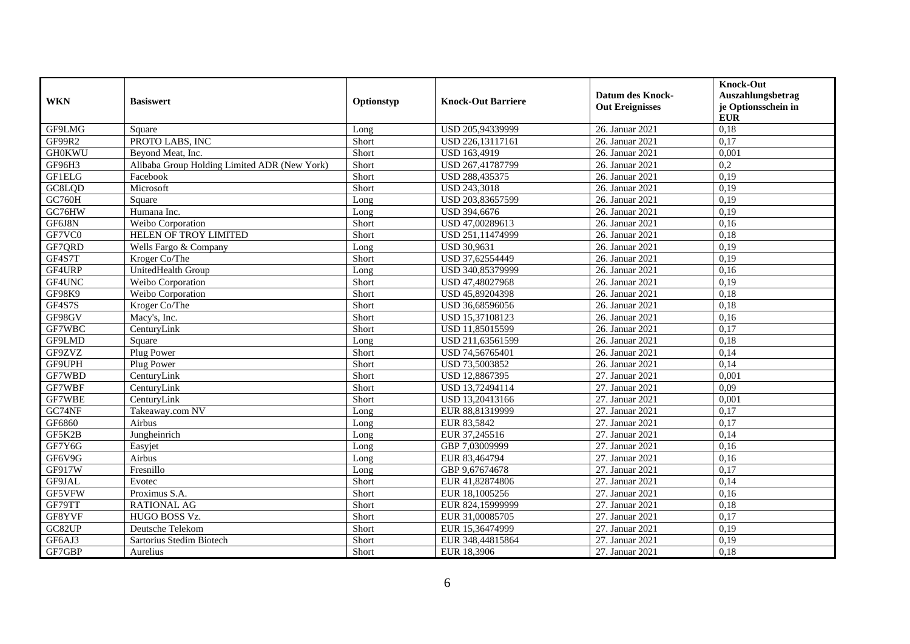| <b>WKN</b>    | <b>Basiswert</b>                             | Optionstyp | <b>Knock-Out Barriere</b> | <b>Datum des Knock-</b><br><b>Out Ereignisses</b> | <b>Knock-Out</b><br>Auszahlungsbetrag<br>je Optionsschein in<br><b>EUR</b> |
|---------------|----------------------------------------------|------------|---------------------------|---------------------------------------------------|----------------------------------------------------------------------------|
| GF9LMG        | Square                                       | Long       | USD 205,94339999          | 26. Januar 2021                                   | 0,18                                                                       |
| GF99R2        | PROTO LABS, INC                              | Short      | USD 226,13117161          | 26. Januar 2021                                   | 0,17                                                                       |
| <b>GH0KWU</b> | Beyond Meat, Inc.                            | Short      | USD 163,4919              | 26. Januar 2021                                   | 0,001                                                                      |
| GF96H3        | Alibaba Group Holding Limited ADR (New York) | Short      | USD 267,41787799          | 26. Januar 2021                                   | 0,2                                                                        |
| <b>GF1ELG</b> | Facebook                                     | Short      | USD 288,435375            | 26. Januar 2021                                   | 0,19                                                                       |
| GC8LOD        | Microsoft                                    | Short      | <b>USD 243,3018</b>       | 26. Januar 2021                                   | 0,19                                                                       |
| GC760H        | Square                                       | Long       | USD 203,83657599          | 26. Januar 2021                                   | 0,19                                                                       |
| GC76HW        | Humana Inc.                                  | Long       | USD 394,6676              | 26. Januar 2021                                   | 0,19                                                                       |
| GF6J8N        | Weibo Corporation                            | Short      | USD 47,00289613           | 26. Januar 2021                                   | 0,16                                                                       |
| GF7VC0        | HELEN OF TROY LIMITED                        | Short      | USD 251,11474999          | 26. Januar 2021                                   | 0,18                                                                       |
| GF7QRD        | Wells Fargo & Company                        | Long       | <b>USD 30,9631</b>        | 26. Januar 2021                                   | 0,19                                                                       |
| GF4S7T        | Kroger Co/The                                | Short      | USD 37,62554449           | 26. Januar 2021                                   | 0,19                                                                       |
| GF4URP        | UnitedHealth Group                           | Long       | USD 340,85379999          | 26. Januar 2021                                   | 0.16                                                                       |
| GF4UNC        | Weibo Corporation                            | Short      | USD 47,48027968           | 26. Januar 2021                                   | 0,19                                                                       |
| <b>GF98K9</b> | Weibo Corporation                            | Short      | USD 45,89204398           | 26. Januar 2021                                   | 0,18                                                                       |
| GF4S7S        | Kroger Co/The                                | Short      | USD 36,68596056           | 26. Januar 2021                                   | 0,18                                                                       |
| GF98GV        | Macy's, Inc.                                 | Short      | USD 15,37108123           | 26. Januar 2021                                   | 0,16                                                                       |
| GF7WBC        | CenturyLink                                  | Short      | USD 11,85015599           | 26. Januar 2021                                   | 0,17                                                                       |
| GF9LMD        | Square                                       | Long       | USD 211,63561599          | 26. Januar 2021                                   | 0,18                                                                       |
| GF9ZVZ        | Plug Power                                   | Short      | USD 74,56765401           | 26. Januar 2021                                   | 0,14                                                                       |
| GF9UPH        | Plug Power                                   | Short      | USD 73,5003852            | 26. Januar 2021                                   | 0,14                                                                       |
| GF7WBD        | CenturyLink                                  | Short      | USD 12,8867395            | 27. Januar 2021                                   | 0,001                                                                      |
| GF7WBF        | CenturyLink                                  | Short      | USD 13,72494114           | 27. Januar 2021                                   | 0,09                                                                       |
| GF7WBE        | CenturyLink                                  | Short      | USD 13,20413166           | 27. Januar 2021                                   | 0,001                                                                      |
| GC74NF        | Takeaway.com NV                              | Long       | EUR 88,81319999           | 27. Januar 2021                                   | 0,17                                                                       |
| GF6860        | Airbus                                       | Long       | EUR 83,5842               | 27. Januar 2021                                   | 0,17                                                                       |
| GF5K2B        | Jungheinrich                                 | Long       | EUR 37,245516             | 27. Januar 2021                                   | 0,14                                                                       |
| GF7Y6G        | Easyjet                                      | Long       | GBP 7,03009999            | 27. Januar 2021                                   | 0,16                                                                       |
| GF6V9G        | Airbus                                       | Long       | EUR 83,464794             | 27. Januar 2021                                   | 0,16                                                                       |
| GF917W        | Fresnillo                                    | Long       | GBP 9,67674678            | 27. Januar 2021                                   | 0,17                                                                       |
| GF9JAL        | Evotec                                       | Short      | EUR 41,82874806           | 27. Januar 2021                                   | 0,14                                                                       |
| GF5VFW        | Proximus S.A.                                | Short      | EUR 18,1005256            | 27. Januar 2021                                   | 0,16                                                                       |
| GF79TT        | <b>RATIONAL AG</b>                           | Short      | EUR 824,15999999          | 27. Januar 2021                                   | 0,18                                                                       |
| GF8YVF        | HUGO BOSS Vz.                                | Short      | EUR 31,00085705           | 27. Januar 2021                                   | 0,17                                                                       |
| GC82UP        | Deutsche Telekom                             | Short      | EUR 15,36474999           | 27. Januar 2021                                   | 0,19                                                                       |
| GF6AJ3        | Sartorius Stedim Biotech                     | Short      | EUR 348,44815864          | 27. Januar 2021                                   | 0,19                                                                       |
| GF7GBP        | Aurelius                                     | Short      | EUR 18,3906               | 27. Januar 2021                                   | 0,18                                                                       |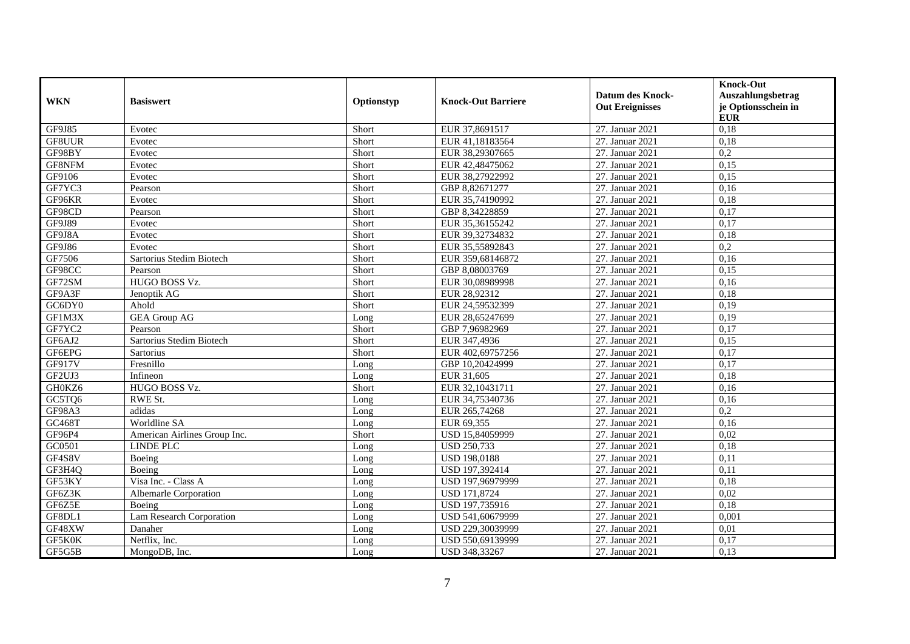| <b>WKN</b>          | <b>Basiswert</b>             | Optionstyp | <b>Knock-Out Barriere</b> | <b>Datum des Knock-</b><br><b>Out Ereignisses</b> | <b>Knock-Out</b><br>Auszahlungsbetrag<br>je Optionsschein in<br><b>EUR</b> |
|---------------------|------------------------------|------------|---------------------------|---------------------------------------------------|----------------------------------------------------------------------------|
| GF9J85              | Evotec                       | Short      | EUR 37,8691517            | 27. Januar 2021                                   | 0,18                                                                       |
| GF8UUR              | Evotec                       | Short      | EUR 41,18183564           | 27. Januar 2021                                   | 0,18                                                                       |
| GF98BY              | Evotec                       | Short      | EUR 38,29307665           | 27. Januar 2021                                   | 0,2                                                                        |
| GF8NFM              | Evotec                       | Short      | EUR 42,48475062           | 27. Januar 2021                                   | 0,15                                                                       |
| GF9106              | Evotec                       | Short      | EUR 38,27922992           | 27. Januar 2021                                   | 0,15                                                                       |
| GF7YC3              | Pearson                      | Short      | GBP 8,82671277            | 27. Januar 2021                                   | 0,16                                                                       |
| GF96KR              | Evotec                       | Short      | EUR 35,74190992           | 27. Januar 2021                                   | 0,18                                                                       |
| GF98CD              | Pearson                      | Short      | GBP 8,34228859            | 27. Januar 2021                                   | 0,17                                                                       |
| GF9J89              | Evotec                       | Short      | EUR 35,36155242           | 27. Januar 2021                                   | 0,17                                                                       |
| GF9J8A              | Evotec                       | Short      | EUR 39,32734832           | 27. Januar 2021                                   | 0,18                                                                       |
| GF9J86              | Evotec                       | Short      | EUR 35,55892843           | 27. Januar 2021                                   | 0,2                                                                        |
| GF7506              | Sartorius Stedim Biotech     | Short      | EUR 359,68146872          | 27. Januar 2021                                   | 0,16                                                                       |
| GF98CC              | Pearson                      | Short      | GBP 8.08003769            | 27. Januar 2021                                   | 0.15                                                                       |
| GF72SM              | HUGO BOSS Vz.                | Short      | EUR 30,08989998           | 27. Januar 2021                                   | 0,16                                                                       |
| GF9A3F              | Jenoptik AG                  | Short      | EUR 28,92312              | 27. Januar 2021                                   | 0.18                                                                       |
| $G\overline{C6DY0}$ | Ahold                        | Short      | EUR 24,59532399           | 27. Januar 2021                                   | 0,19                                                                       |
| GF1M3X              | <b>GEA Group AG</b>          | Long       | EUR 28,65247699           | 27. Januar 2021                                   | 0,19                                                                       |
| GF7YC2              | Pearson                      | Short      | GBP 7,96982969            | 27. Januar 2021                                   | 0,17                                                                       |
| GF6AJ2              | Sartorius Stedim Biotech     | Short      | EUR 347,4936              | 27. Januar 2021                                   | 0,15                                                                       |
| GF6EPG              | Sartorius                    | Short      | EUR 402,69757256          | 27. Januar 2021                                   | 0,17                                                                       |
| GF917V              | Fresnillo                    | Long       | GBP 10,20424999           | 27. Januar 2021                                   | 0,17                                                                       |
| GF2UJ3              | Infineon                     | Long       | EUR 31,605                | 27. Januar 2021                                   | 0,18                                                                       |
| GH0KZ6              | HUGO BOSS Vz.                | Short      | EUR 32,10431711           | 27. Januar 2021                                   | 0,16                                                                       |
| GC5TQ6              | RWE St.                      | Long       | EUR 34,75340736           | 27. Januar 2021                                   | 0,16                                                                       |
| GF98A3              | adidas                       | Long       | EUR 265,74268             | 27. Januar 2021                                   | 0,2                                                                        |
| GC468T              | Worldline SA                 | Long       | EUR 69,355                | 27. Januar 2021                                   | 0,16                                                                       |
| GF96P4              | American Airlines Group Inc. | Short      | USD 15,84059999           | 27. Januar 2021                                   | 0,02                                                                       |
| GC0501              | <b>LINDE PLC</b>             | Long       | <b>USD 250,733</b>        | 27. Januar 2021                                   | 0,18                                                                       |
| GF4S8V              | Boeing                       | Long       | <b>USD 198,0188</b>       | 27. Januar 2021                                   | 0,11                                                                       |
| GF3H4Q              | Boeing                       | Long       | USD 197,392414            | 27. Januar 2021                                   | 0,11                                                                       |
| GF53KY              | Visa Inc. - Class A          | Long       | USD 197,96979999          | 27. Januar 2021                                   | 0.18                                                                       |
| GF6Z3K              | Albemarle Corporation        | Long       | <b>USD 171,8724</b>       | 27. Januar 2021                                   | 0.02                                                                       |
| GF6Z5E              | Boeing                       | Long       | USD 197,735916            | 27. Januar 2021                                   | 0,18                                                                       |
| GF8DL1              | Lam Research Corporation     | Long       | USD 541,60679999          | 27. Januar 2021                                   | 0,001                                                                      |
| GF48XW              | Danaher                      | Long       | USD 229,30039999          | 27. Januar 2021                                   | 0,01                                                                       |
| GF5K0K              | Netflix, Inc.                | Long       | USD 550,69139999          | 27. Januar 2021                                   | 0,17                                                                       |
| GF5G5B              | MongoDB, Inc.                | Long       | USD 348,33267             | 27. Januar 2021                                   | 0,13                                                                       |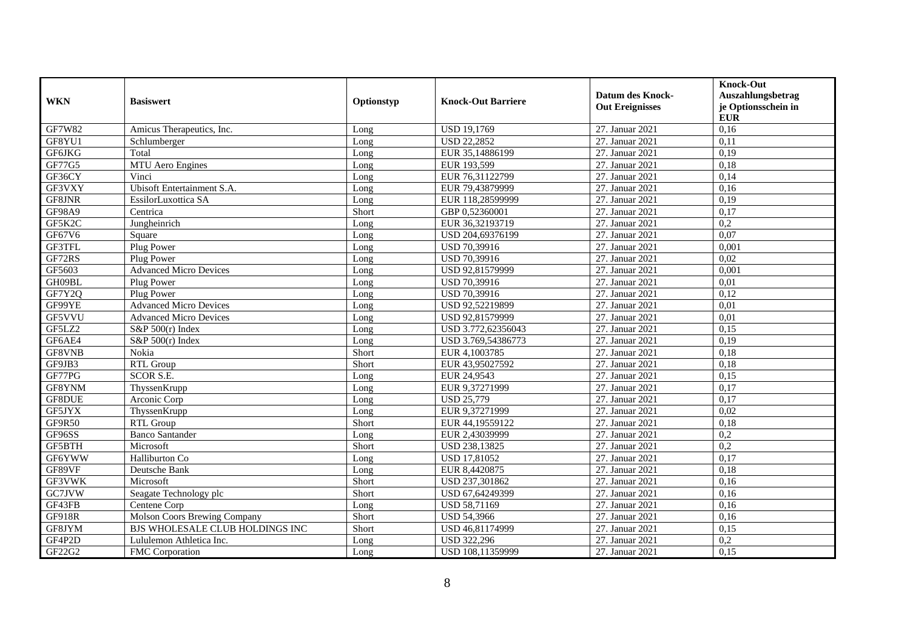| <b>WKN</b>    | <b>Basiswert</b>                | Optionstyp | <b>Knock-Out Barriere</b> | <b>Datum des Knock-</b><br><b>Out Ereignisses</b> | <b>Knock-Out</b><br>Auszahlungsbetrag<br>je Optionsschein in<br><b>EUR</b> |
|---------------|---------------------------------|------------|---------------------------|---------------------------------------------------|----------------------------------------------------------------------------|
| GF7W82        | Amicus Therapeutics, Inc.       | Long       | <b>USD 19,1769</b>        | 27. Januar 2021                                   | 0,16                                                                       |
| GF8YU1        | Schlumberger                    | Long       | <b>USD 22,2852</b>        | 27. Januar 2021                                   | 0,11                                                                       |
| GF6JKG        | Total                           | Long       | EUR 35,14886199           | 27. Januar 2021                                   | 0,19                                                                       |
| GF77G5        | MTU Aero Engines                | Long       | EUR 193,599               | 27. Januar 2021                                   | 0,18                                                                       |
| GF36CY        | Vinci                           | Long       | EUR 76,31122799           | 27. Januar 2021                                   | 0,14                                                                       |
| GF3VXY        | Ubisoft Entertainment S.A.      | Long       | EUR 79,43879999           | 27. Januar 2021                                   | 0,16                                                                       |
| GF8JNR        | EssilorLuxottica SA             | Long       | EUR 118,28599999          | 27. Januar 2021                                   | 0,19                                                                       |
| <b>GF98A9</b> | Centrica                        | Short      | GBP 0,52360001            | 27. Januar 2021                                   | 0,17                                                                       |
| GF5K2C        | Jungheinrich                    | Long       | EUR 36,32193719           | 27. Januar 2021                                   | $\overline{0.2}$                                                           |
| GF67V6        | Square                          | Long       | USD 204,69376199          | 27. Januar 2021                                   | 0.07                                                                       |
| GF3TFL        | Plug Power                      | Long       | USD 70,39916              | 27. Januar 2021                                   | 0,001                                                                      |
| GF72RS        | Plug Power                      | Long       | USD 70,39916              | 27. Januar 2021                                   | 0,02                                                                       |
| GF5603        | <b>Advanced Micro Devices</b>   | Long       | USD 92,81579999           | 27. Januar 2021                                   | 0,001                                                                      |
| GH09BL        | Plug Power                      | Long       | USD 70,39916              | 27. Januar 2021                                   | 0,01                                                                       |
| GF7Y2Q        | Plug Power                      | Long       | USD 70,39916              | 27. Januar 2021                                   | 0,12                                                                       |
| GF99YE        | <b>Advanced Micro Devices</b>   | Long       | USD 92,52219899           | 27. Januar 2021                                   | 0,01                                                                       |
| GF5VVU        | <b>Advanced Micro Devices</b>   | Long       | USD 92.81579999           | 27. Januar 2021                                   | 0.01                                                                       |
| GF5LZ2        | S&P $500(r)$ Index              | Long       | USD 3.772,62356043        | 27. Januar 2021                                   | 0,15                                                                       |
| GF6AE4        | $S&P 500(r)$ Index              | Long       | USD 3.769,54386773        | 27. Januar 2021                                   | 0,19                                                                       |
| GF8VNB        | Nokia                           | Short      | EUR 4,1003785             | 27. Januar 2021                                   | 0,18                                                                       |
| GF9JB3        | <b>RTL Group</b>                | Short      | EUR 43,95027592           | 27. Januar 2021                                   | 0,18                                                                       |
| GF77PG        | <b>SCOR S.E.</b>                | Long       | EUR 24,9543               | 27. Januar 2021                                   | 0,15                                                                       |
| GF8YNM        | ThyssenKrupp                    | Long       | EUR 9,37271999            | 27. Januar 2021                                   | 0,17                                                                       |
| GF8DUE        | Arconic Corp                    | Long       | <b>USD 25,779</b>         | 27. Januar 2021                                   | 0,17                                                                       |
| GF5JYX        | ThyssenKrupp                    | Long       | EUR 9,37271999            | 27. Januar 2021                                   | 0,02                                                                       |
| GF9R50        | RTL Group                       | Short      | EUR 44,19559122           | 27. Januar 2021                                   | 0,18                                                                       |
| GF96SS        | <b>Banco Santander</b>          | Long       | EUR 2,43039999            | 27. Januar 2021                                   | 0,2                                                                        |
| GF5BTH        | Microsoft                       | Short      | USD 238,13825             | 27. Januar 2021                                   | 0,2                                                                        |
| GF6YWW        | Halliburton Co.                 | Long       | <b>USD 17,81052</b>       | 27. Januar 2021                                   | 0,17                                                                       |
| GF89VF        | Deutsche Bank                   | Long       | EUR 8,4420875             | 27. Januar 2021                                   | 0,18                                                                       |
| GF3VWK        | Microsoft                       | Short      | USD 237,301862            | 27. Januar 2021                                   | 0,16                                                                       |
| GC7JVW        | Seagate Technology plc          | Short      | USD 67,64249399           | 27. Januar 2021                                   | 0,16                                                                       |
| GF43FB        | Centene Corp                    | Long       | USD 58,71169              | 27. Januar 2021                                   | 0,16                                                                       |
| GF918R        | Molson Coors Brewing Company    | Short      | <b>USD 54,3966</b>        | 27. Januar 2021                                   | 0,16                                                                       |
| GF8JYM        | BJS WHOLESALE CLUB HOLDINGS INC | Short      | USD 46,81174999           | 27. Januar 2021                                   | 0,15                                                                       |
| GF4P2D        | Lululemon Athletica Inc.        | Long       | <b>USD 322,296</b>        | 27. Januar 2021                                   | 0,2                                                                        |
| GF22G2        | FMC Corporation                 | Long       | USD 108,11359999          | 27. Januar 2021                                   | 0,15                                                                       |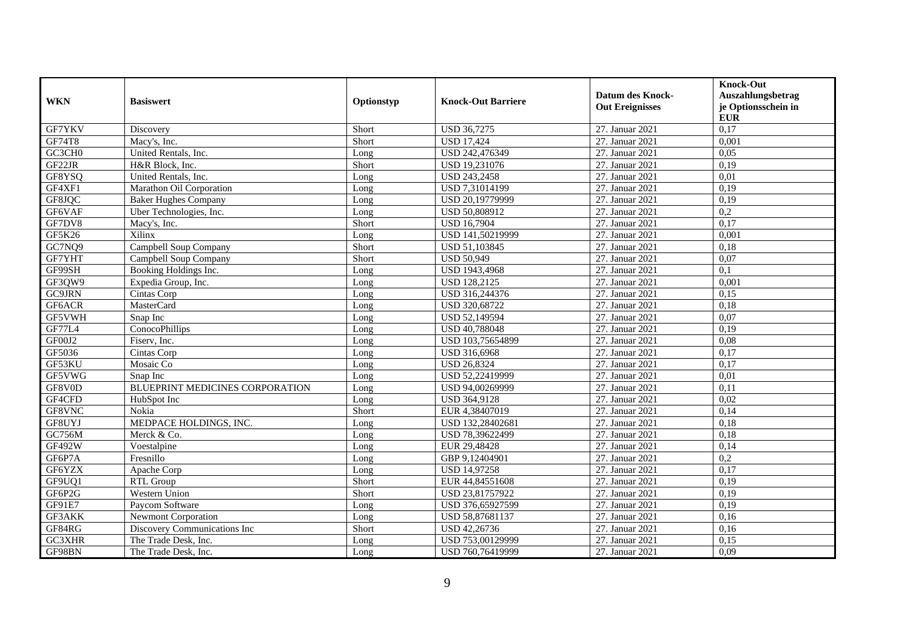| <b>WKN</b> | <b>Basiswert</b>                | Optionstyp | <b>Knock-Out Barriere</b> | <b>Datum des Knock-</b><br><b>Out Ereignisses</b> | <b>Knock-Out</b><br>Auszahlungsbetrag<br>je Optionsschein in<br><b>EUR</b> |
|------------|---------------------------------|------------|---------------------------|---------------------------------------------------|----------------------------------------------------------------------------|
| GF7YKV     | Discovery                       | Short      | <b>USD 36,7275</b>        | 27. Januar 2021                                   | 0,17                                                                       |
| GF74T8     | Macy's, Inc.                    | Short      | <b>USD 17,424</b>         | 27. Januar 2021                                   | 0,001                                                                      |
| GC3CH0     | United Rentals, Inc.            | Long       | USD 242,476349            | 27. Januar 2021                                   | 0,05                                                                       |
| GF22JR     | H&R Block, Inc.                 | Short      | USD 19,231076             | 27. Januar 2021                                   | 0,19                                                                       |
| GF8YSQ     | United Rentals, Inc.            | Long       | <b>USD 243,2458</b>       | 27. Januar 2021                                   | 0,01                                                                       |
| GF4XF1     | Marathon Oil Corporation        | Long       | USD 7,31014199            | 27. Januar 2021                                   | 0,19                                                                       |
| GF8JQC     | <b>Baker Hughes Company</b>     | Long       | USD 20,19779999           | 27. Januar 2021                                   | 0,19                                                                       |
| GF6VAF     | Uber Technologies, Inc.         | Long       | USD 50,808912             | 27. Januar 2021                                   | 0,2                                                                        |
| GF7DV8     | Macy's, Inc.                    | Short      | <b>USD 16,7904</b>        | 27. Januar 2021                                   | 0,17                                                                       |
| GF5K26     | Xilinx                          | Long       | USD 141,50219999          | 27. Januar 2021                                   | 0,001                                                                      |
| GC7NQ9     | Campbell Soup Company           | Short      | USD 51,103845             | 27. Januar 2021                                   | 0,18                                                                       |
| GF7YHT     | Campbell Soup Company           | Short      | <b>USD 50,949</b>         | 27. Januar 2021                                   | 0,07                                                                       |
| GF99SH     | Booking Holdings Inc.           | Long       | USD 1943,4968             | 27. Januar 2021                                   | 0,1                                                                        |
| GF3QW9     | Expedia Group, Inc.             | Long       | <b>USD 128,2125</b>       | 27. Januar 2021                                   | 0,001                                                                      |
| GC9JRN     | Cintas Corp                     | Long       | USD 316,244376            | 27. Januar 2021                                   | 0,15                                                                       |
| GF6ACR     | MasterCard                      | Long       | USD 320,68722             | 27. Januar 2021                                   | 0,18                                                                       |
| GF5VWH     | Snap Inc                        | Long       | <b>USD 52.149594</b>      | 27. Januar 2021                                   | 0.07                                                                       |
| GF77L4     | ConocoPhillips                  | Long       | USD 40,788048             | 27. Januar 2021                                   | 0,19                                                                       |
| GF00J2     | Fiserv, Inc.                    | Long       | USD 103,75654899          | 27. Januar 2021                                   | 0,08                                                                       |
| GF5036     | Cintas Corp                     | Long       | USD 316,6968              | 27. Januar 2021                                   | 0,17                                                                       |
| GF53KU     | Mosaic Co                       | Long       | <b>USD 26,8324</b>        | 27. Januar 2021                                   | 0,17                                                                       |
| GF5VWG     | Snap Inc                        | Long       | USD 52,22419999           | 27. Januar 2021                                   | 0,01                                                                       |
| GF8V0D     | BLUEPRINT MEDICINES CORPORATION | Long       | USD 94,00269999           | 27. Januar 2021                                   | 0,11                                                                       |
| GF4CFD     | HubSpot Inc                     | Long       | USD 364,9128              | 27. Januar 2021                                   | 0,02                                                                       |
| GF8VNC     | Nokia                           | Short      | EUR 4,38407019            | 27. Januar 2021                                   | 0,14                                                                       |
| GF8UYJ     | MEDPACE HOLDINGS, INC.          | Long       | USD 132,28402681          | 27. Januar 2021                                   | 0,18                                                                       |
| GC756M     | Merck & Co.                     | Long       | USD 78,39622499           | 27. Januar 2021                                   | 0.18                                                                       |
| GF492W     | Voestalpine                     | Long       | EUR 29,48428              | 27. Januar 2021                                   | 0,14                                                                       |
| GF6P7A     | Fresnillo                       | Long       | GBP 9,12404901            | 27. Januar 2021                                   | 0,2                                                                        |
| GF6YZX     | Apache Corp                     | Long       | <b>USD 14,97258</b>       | 27. Januar 2021                                   | 0,17                                                                       |
| GF9UQ1     | RTL Group                       | Short      | EUR 44,84551608           | 27. Januar 2021                                   | 0,19                                                                       |
| GF6P2G     | Western Union                   | Short      | USD 23,81757922           | 27. Januar 2021                                   | 0,19                                                                       |
| GF91E7     | Paycom Software                 | Long       | USD 376,65927599          | 27. Januar 2021                                   | 0,19                                                                       |
| GF3AKK     | Newmont Corporation             | Long       | USD 58,87681137           | 27. Januar 2021                                   | 0,16                                                                       |
| GF84RG     | Discovery Communications Inc    | Short      | USD 42,26736              | 27. Januar 2021                                   | 0,16                                                                       |
| GC3XHR     | The Trade Desk, Inc.            | Long       | USD 753,00129999          | 27. Januar 2021                                   | 0,15                                                                       |
| GF98BN     | The Trade Desk, Inc.            | Long       | USD 760,76419999          | 27. Januar 2021                                   | 0,09                                                                       |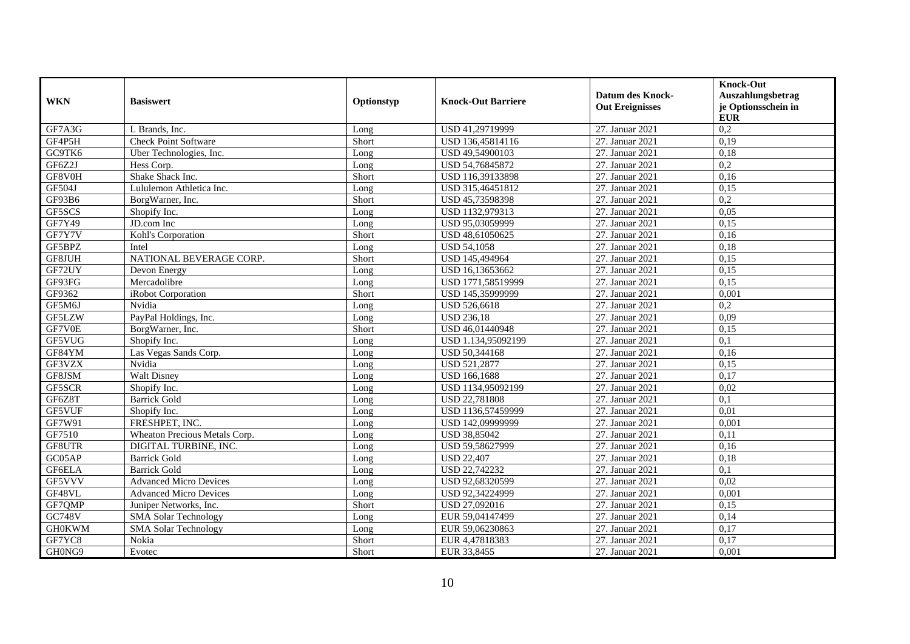| <b>WKN</b>    | <b>Basiswert</b>              | Optionstyp | <b>Knock-Out Barriere</b> | <b>Datum des Knock-</b><br><b>Out Ereignisses</b> | <b>Knock-Out</b><br>Auszahlungsbetrag<br>je Optionsschein in<br><b>EUR</b> |
|---------------|-------------------------------|------------|---------------------------|---------------------------------------------------|----------------------------------------------------------------------------|
| GF7A3G        | L Brands, Inc.                | Long       | USD 41,29719999           | 27. Januar 2021                                   | 0,2                                                                        |
| GF4P5H        | <b>Check Point Software</b>   | Short      | USD 136,45814116          | 27. Januar 2021                                   | 0,19                                                                       |
| GC9TK6        | Uber Technologies, Inc.       | Long       | USD 49,54900103           | 27. Januar 2021                                   | 0,18                                                                       |
| GF6Z2J        | Hess Corp.                    | Long       | USD 54,76845872           | 27. Januar 2021                                   | $\overline{0.2}$                                                           |
| GF8V0H        | Shake Shack Inc.              | Short      | USD 116,39133898          | 27. Januar 2021                                   | 0,16                                                                       |
| GF504J        | Lululemon Athletica Inc.      | Long       | USD 315,46451812          | 27. Januar 2021                                   | 0,15                                                                       |
| GF93B6        | BorgWarner, Inc.              | Short      | USD 45,73598398           | 27. Januar 2021                                   | 0,2                                                                        |
| GF5SCS        | Shopify Inc.                  | Long       | USD 1132,979313           | 27. Januar 2021                                   | 0,05                                                                       |
| GF7Y49        | JD.com Inc                    | Long       | USD 95,03059999           | 27. Januar 2021                                   | 0,15                                                                       |
| GF7Y7V        | Kohl's Corporation            | Short      | USD 48,61050625           | 27. Januar 2021                                   | 0,16                                                                       |
| GF5BPZ        | Intel                         | Long       | <b>USD 54,1058</b>        | 27. Januar 2021                                   | 0,18                                                                       |
| GF8JUH        | NATIONAL BEVERAGE CORP.       | Short      | USD 145,494964            | 27. Januar 2021                                   | 0.15                                                                       |
| GF72UY        | Devon Energy                  | Long       | USD 16,13653662           | 27. Januar 2021                                   | 0,15                                                                       |
| GF93FG        | Mercadolibre                  | Long       | USD 1771,58519999         | 27. Januar 2021                                   | 0,15                                                                       |
| GF9362        | iRobot Corporation            | Short      | USD 145,35999999          | 27. Januar 2021                                   | 0,001                                                                      |
| GF5M6J        | Nvidia                        | Long       | USD 526,6618              | 27. Januar 2021                                   | 0,2                                                                        |
| GF5LZW        | PayPal Holdings, Inc.         | Long       | <b>USD 236.18</b>         | 27. Januar 2021                                   | 0.09                                                                       |
| GF7V0E        | BorgWarner, Inc.              | Short      | USD 46,01440948           | 27. Januar 2021                                   | 0,15                                                                       |
| GF5VUG        | Shopify Inc.                  | Long       | USD 1.134,95092199        | 27. Januar 2021                                   | 0,1                                                                        |
| GF84YM        | Las Vegas Sands Corp.         | Long       | USD 50,344168             | 27. Januar 2021                                   | 0,16                                                                       |
| GF3VZX        | Nvidia                        | Long       | <b>USD 521,2877</b>       | 27. Januar 2021                                   | 0,15                                                                       |
| GF8JSM        | <b>Walt Disney</b>            | Long       | <b>USD 166,1688</b>       | 27. Januar 2021                                   | 0,17                                                                       |
| GF5SCR        | Shopify Inc.                  | Long       | USD 1134,95092199         | 27. Januar 2021                                   | 0,02                                                                       |
| GF6Z8T        | <b>Barrick Gold</b>           | Long       | USD 22,781808             | 27. Januar 2021                                   | 0,1                                                                        |
| GF5VUF        | Shopify Inc.                  | Long       | USD 1136,57459999         | 27. Januar 2021                                   | 0,01                                                                       |
| GF7W91        | FRESHPET, INC.                | Long       | USD 142,09999999          | 27. Januar 2021                                   | 0,001                                                                      |
| GF7510        | Wheaton Precious Metals Corp. | Long       | USD 38,85042              | 27. Januar 2021                                   | 0,11                                                                       |
| GF8UTR        | DIGITAL TURBINE, INC.         | Long       | USD 59,58627999           | 27. Januar 2021                                   | 0,16                                                                       |
| GC05AP        | <b>Barrick Gold</b>           | Long       | <b>USD 22,407</b>         | 27. Januar 2021                                   | 0,18                                                                       |
| GF6ELA        | <b>Barrick Gold</b>           | Long       | USD 22,742232             | 27. Januar 2021                                   | 0,1                                                                        |
| GF5VVV        | <b>Advanced Micro Devices</b> | Long       | USD 92,68320599           | 27. Januar 2021                                   | 0,02                                                                       |
| GF48VL        | <b>Advanced Micro Devices</b> | Long       | USD 92,34224999           | 27. Januar 2021                                   | 0,001                                                                      |
| GF7QMP        | Juniper Networks, Inc.        | Short      | USD 27,092016             | 27. Januar 2021                                   | 0,15                                                                       |
| <b>GC748V</b> | <b>SMA Solar Technology</b>   | Long       | EUR 59,04147499           | 27. Januar 2021                                   | 0,14                                                                       |
| <b>GH0KWM</b> | <b>SMA Solar Technology</b>   | Long       | EUR 59,06230863           | 27. Januar 2021                                   | 0,17                                                                       |
| GF7YC8        | Nokia                         | Short      | EUR 4,47818383            | 27. Januar 2021                                   | 0,17                                                                       |
| GH0NG9        | Evotec                        | Short      | EUR 33,8455               | 27. Januar 2021                                   | 0,001                                                                      |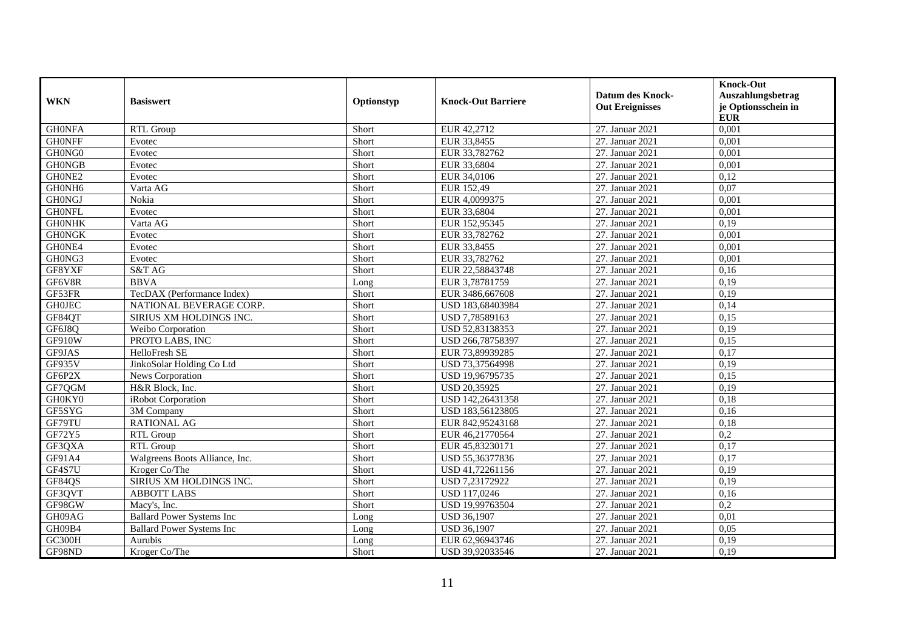| <b>WKN</b>    | <b>Basiswert</b>                 | Optionstyp | <b>Knock-Out Barriere</b> | <b>Datum des Knock-</b><br><b>Out Ereignisses</b> | <b>Knock-Out</b><br>Auszahlungsbetrag<br>je Optionsschein in<br><b>EUR</b> |
|---------------|----------------------------------|------------|---------------------------|---------------------------------------------------|----------------------------------------------------------------------------|
| <b>GHONFA</b> | RTL Group                        | Short      | EUR 42,2712               | 27. Januar 2021                                   | 0,001                                                                      |
| <b>GHONFF</b> | Evotec                           | Short      | EUR 33,8455               | 27. Januar 2021                                   | 0,001                                                                      |
| GH0NG0        | Evotec                           | Short      | EUR 33,782762             | 27. Januar 2021                                   | 0.001                                                                      |
| <b>GHONGB</b> | Evotec                           | Short      | EUR 33,6804               | 27. Januar 2021                                   | 0,001                                                                      |
| GH0NE2        | Evotec                           | Short      | EUR 34,0106               | 27. Januar 2021                                   | 0,12                                                                       |
| GH0NH6        | Varta AG                         | Short      | EUR 152,49                | 27. Januar 2021                                   | 0,07                                                                       |
| <b>GHONGJ</b> | Nokia                            | Short      | EUR 4,0099375             | 27. Januar 2021                                   | 0,001                                                                      |
| <b>GHONFL</b> | Evotec                           | Short      | EUR 33,6804               | 27. Januar 2021                                   | 0,001                                                                      |
| <b>GHONHK</b> | Varta AG                         | Short      | EUR 152,95345             | 27. Januar 2021                                   | 0,19                                                                       |
| <b>GHONGK</b> | Evotec                           | Short      | EUR 33,782762             | 27. Januar 2021                                   | 0,001                                                                      |
| GH0NE4        | Evotec                           | Short      | EUR 33,8455               | 27. Januar 2021                                   | 0,001                                                                      |
| GH0NG3        | Evotec                           | Short      | EUR 33,782762             | 27. Januar 2021                                   | 0,001                                                                      |
| GF8YXF        | S&T AG                           | Short      | EUR 22,58843748           | 27. Januar 2021                                   | 0,16                                                                       |
| GF6V8R        | <b>BBVA</b>                      | Long       | EUR 3,78781759            | 27. Januar 2021                                   | 0,19                                                                       |
| GF53FR        | TecDAX (Performance Index)       | Short      | EUR 3486,667608           | 27. Januar 2021                                   | 0,19                                                                       |
| <b>GH0JEC</b> | NATIONAL BEVERAGE CORP.          | Short      | USD 183,68403984          | 27. Januar 2021                                   | 0,14                                                                       |
| GF84QT        | SIRIUS XM HOLDINGS INC.          | Short      | USD 7.78589163            | 27. Januar 2021                                   | 0,15                                                                       |
| GF6J8Q        | Weibo Corporation                | Short      | USD 52,83138353           | 27. Januar 2021                                   | 0,19                                                                       |
| <b>GF910W</b> | PROTO LABS, INC                  | Short      | USD 266,78758397          | 27. Januar 2021                                   | 0,15                                                                       |
| GF9JAS        | HelloFresh SE                    | Short      | EUR 73,89939285           | 27. Januar 2021                                   | 0,17                                                                       |
| GF935V        | JinkoSolar Holding Co Ltd        | Short      | USD 73,37564998           | 27. Januar 2021                                   | 0,19                                                                       |
| GF6P2X        | News Corporation                 | Short      | USD 19,96795735           | 27. Januar 2021                                   | 0,15                                                                       |
| GF7QGM        | H&R Block, Inc.                  | Short      | <b>USD 20,35925</b>       | 27. Januar 2021                                   | 0,19                                                                       |
| GH0KY0        | iRobot Corporation               | Short      | USD 142,26431358          | 27. Januar 2021                                   | 0.18                                                                       |
| GF5SYG        | 3M Company                       | Short      | USD 183,56123805          | 27. Januar 2021                                   | 0,16                                                                       |
| GF79TU        | <b>RATIONAL AG</b>               | Short      | EUR 842,95243168          | 27. Januar 2021                                   | 0,18                                                                       |
| GF72Y5        | RTL Group                        | Short      | EUR 46,21770564           | 27. Januar 2021                                   | 0,2                                                                        |
| GF3QXA        | RTL Group                        | Short      | EUR 45,83230171           | 27. Januar 2021                                   | 0,17                                                                       |
| GF91A4        | Walgreens Boots Alliance, Inc.   | Short      | USD 55,36377836           | 27. Januar 2021                                   | 0,17                                                                       |
| GF4S7U        | Kroger Co/The                    | Short      | USD 41,72261156           | 27. Januar 2021                                   | 0,19                                                                       |
| GF84QS        | SIRIUS XM HOLDINGS INC.          | Short      | USD 7,23172922            | 27. Januar 2021                                   | 0,19                                                                       |
| GF3QVT        | <b>ABBOTT LABS</b>               | Short      | USD 117,0246              | 27. Januar 2021                                   | 0,16                                                                       |
| GF98GW        | Macy's, Inc.                     | Short      | USD 19,99763504           | 27. Januar 2021                                   | 0,2                                                                        |
| GH09AG        | <b>Ballard Power Systems Inc</b> | Long       | <b>USD 36,1907</b>        | 27. Januar 2021                                   | 0,01                                                                       |
| GH09B4        | <b>Ballard Power Systems Inc</b> | Long       | <b>USD 36,1907</b>        | 27. Januar 2021                                   | 0,05                                                                       |
| GC300H        | Aurubis                          | Long       | EUR 62,96943746           | 27. Januar 2021                                   | 0,19                                                                       |
| GF98ND        | Kroger Co/The                    | Short      | USD 39,92033546           | 27. Januar 2021                                   | 0,19                                                                       |